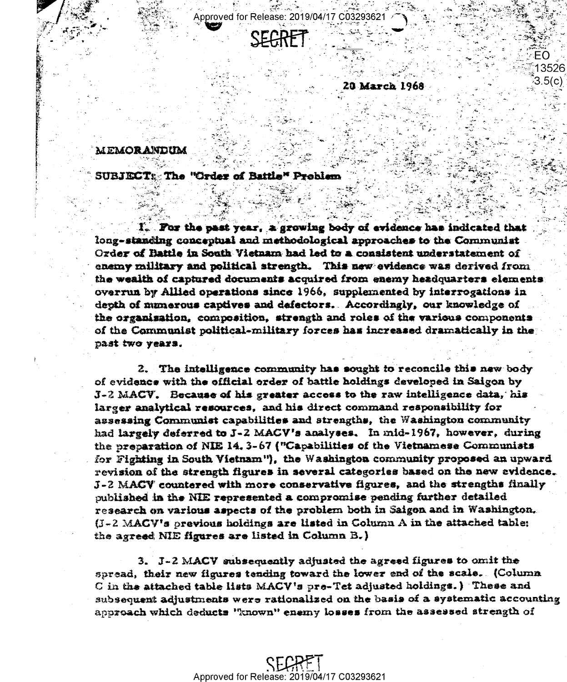Approved for Release: 2019/04/17 C032936



20 March 1968

EO 13526 3.5(c)

#### MEMORANDUM

### **SUBJECT: The "Order of Battle" Problem**

I. For the past year, a growing body of evidence has indicated that long-standing conceptual and methodological approaches to the Communist Ozder of Battle in South Vietnam had led to a consistent understatement of enemy military and political strength. This new evidence was derived from the wealth of captured documents acquired from enemy headquarters elements overrun by Allied operations since 1966, supplemented by interrogations in depth of munerous captives and defectors. Accordingly, our knowledge of the organisation, composition, strength and roles of the various components of the Communist political-military forces has increased dramatically in the past two years.

2. The intelligence community has sought to reconcile this new body of evidence with the official order of battle holdings developed in Saigon by  $J$ -2 MACV. Because of his greater access to the raw intelligence data, his larger analytical resources, and his direct command responsibility for assessing Communist capabilities and strengths, the Washington community had largely deferred to J-2 MACV's analyses. In mid-1967, however, during the preparation of NIE 14.3-67 ("Capabilities of the Vietnamese Communists for Fighting in South Vietnam"), the Washington community proposed an upward revision of the strength figures in several categories based on the new evidence.  $J$ -2 MACV countered with more conservative figures, and the strengths finally published in the NIE represented a compromise pending further detailed research on various aspects of the problem both in Saigon and in Washington.  $(J - 2$  MACV's previous holdings are listed in Column A in the attached table; the agreed NIE figures are listed in Column B.)

3. J-2 MACV subsequently adjusted the agreed figures to omit the spread, their new figures tending toward the lower end of the scale. (Column C in the attached table lists MACV's pre-Tet adjusted holdings.) These and subsequent adjustments were rationalized on the basis of a systematic accounting approach which deducts "known" enemy losses from the assessed strength of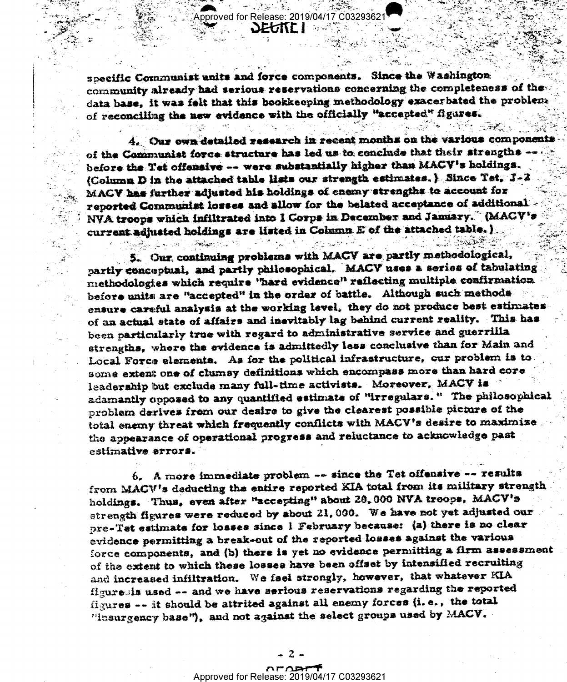specific Communist units and force components. Since the Washington community already had serious reservations concerning the completeness of the data base, it was felt that this bookkeeping methodology exacerbated the problem of reconciling the new evidence with the officially "accepted" figures.

4. Our own detailed research in recent months on the various components of the Communist force structure has led us to conclude that their strengths -before the Tet offensive -- were substantially higher than MACV's holdings. (Column D in the attached table lists our strength estimates.) Since Tet. J-2 MACV has further adjusted his holdings of enemy strengths to account for reported Communist losses and allow for the belated acceptance of additional NVA troops which infiltrated into I Corps in December and January." (MACV's current adjusted holdings are listed in Column E of the attached table. )

5. Our continuing problems with MACV are partly methodological, partly conceptual, and partly philosophical. MACV uses a series of tabulating methodologies which require "hard evidence" reflecting multiple confirmation before units are "accepted" in the order of battle. Although such methods ensure careful analysis at the working level, they do not produce best estimates of an actual state of affairs and inevitably lag behind current reality. This has been particularly true with regard to administrative service and guerrilla strengths, where the evidence is admittedly less conclusive than for Main and Local Force elements. As for the political infrastructure, our problem is to some extent one of clumsy definitions which encompass more than hard core leadership but exclude many full-time activists. Moreover, MACV is adamantly opposed to any quantified estimate of "irregulars." The philosophical problem derives from our desire to give the clearest possible picture of the total enemy threat which frequently conflicts with MACV's desire to maximize the appearance of operational progress and reluctance to acknowledge past estimative errors.

6. A more immediate problem -- since the Tet offensive -- results from MACV's deducting the entire reported KIA total from its military strength holdings. Thus, even after "accepting" about 20,000 NVA troops, MACV's strength figures were reduced by about 21,000. We have not yet adjusted our pre-Tet estimate for losses since I February because: (a) there is no clear evidence permitting a break-out of the reported losses against the various force components, and (b) there is yet no evidence permitting a firm assessment of the extent to which these losses have been offset by intensified recruiting and increased infiltration. We fael strongly, however, that whatever KIA figuresis used -- and we have serious reservations regarding the reported figures -- it should be attrited against all enemy forces (i.e., the total "insurgency base"), and not against the select groups used by MACV.

#### **APAR** Approved for Release: 2019/04/17 C03293621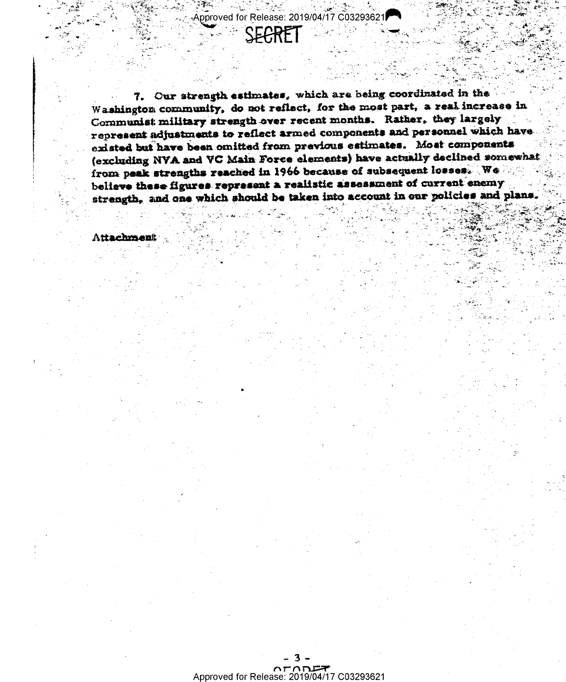pproved for Release: 2019/04/17 C03293621

SFARET

7. Our strength estimates, which are being coordinated in the Washington community, do not reflect, for the most part, a real increase in Communist military strength over recent months. Rather, they largely represent adjustments to reflect armed components and personnel which have existed but have been omitted from previous estimates. Most components (excluding NVA and VC Main Force elements) have actually declined somewhat from peak strengths reached in 1966 because of subsequent losses. We believe these figures represent a realistic assessment of current enemy strength, and one which should be taken into account in our policies and plans

Attachment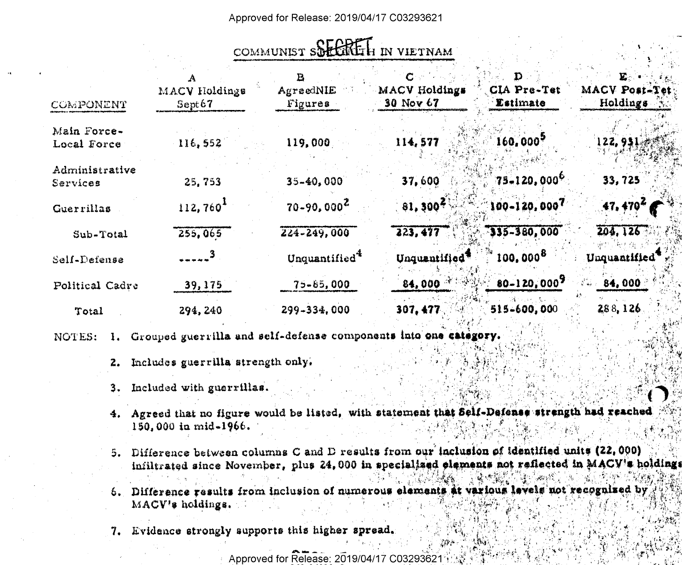## Approved for Release: 2019/04/17 C03293621

# COMMUNIST SOFFICE IN VIETNAM

| COMPONENT                  | MACV Holdings<br>$S$ ept $67$ | AgreedNIE<br>Figures      | MACV Holdings<br>30 Nov 67 | CIA Pre-Tet<br><i>Estimate</i> | E.<br>MACV Post-Tet<br>Holdings |
|----------------------------|-------------------------------|---------------------------|----------------------------|--------------------------------|---------------------------------|
| Main Force-<br>Local Force | 116,552                       | 119.000                   | 114, 577                   | $160,000^5$                    | 122, 951                        |
| Administrative<br>Services | 25,753                        | 35-40,000                 | 37,600                     | $75 - 120,000^6$               | 33,725                          |
| Guerrillas                 | 112,760 <sup>1</sup>          | $70 - 90,000^2$           | 81,300 <sup>4</sup>        | 100-120,0007                   | 47, 470 <sup>2</sup>            |
| Sub-Total                  | 255,065                       | $224 - 249,000$           | 223,477                    | $335 - 380,000$                | 204, 126                        |
| Self-Defense               | $\sim$ $\frac{3}{2}$          | Unquantified <sup>*</sup> | Unquantified               | $100,000^8$                    | Unquantified <sup>®</sup>       |
| Political Cadre            | 39, 175                       | 75-85,000                 | 84,000                     | 80-120,0007                    | 84,000<br>$4\pi/2$              |
| Total                      | 294, 240                      | 299-334,000               | 307, 477                   | 515-600,000                    | 288,126                         |

- 1. Grouped guerrilla and self-defense components into one NOTES:
	- 2. Includes guerrilla strength only.
	- Included with guerrillas. 3.
	- 4. Agreed that no figure would be listed, with statement that Self-Defenss strength had reached 150.000 in mid-1966.
	- 5. Difference between columns C and D results from our inclusion of identified units (22,000) infiltrated since November, plus 24,000 in specialized elements not reflected in MACV's holdings
	- 6. Difference results from inclusion of numerous elements at various levels not recognized by MACV's holdings.
	- 7. Evidence strongly supports this higher spread.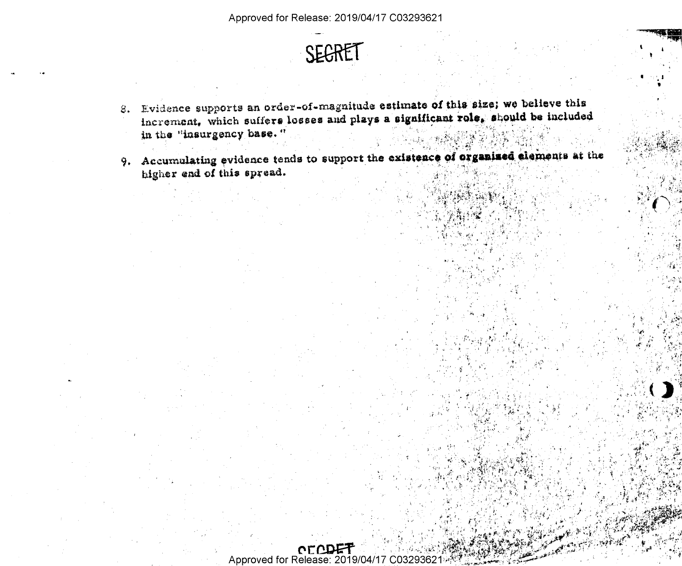

- 8. Evidence supports an order-of-magnitude estimate of this size; we believe this increment, which suffers losses and plays a significant role, should be included in the "insurgency base."
- 9. Accumulating evidence tends to support the existence of organized elements at the higher end of this spread.